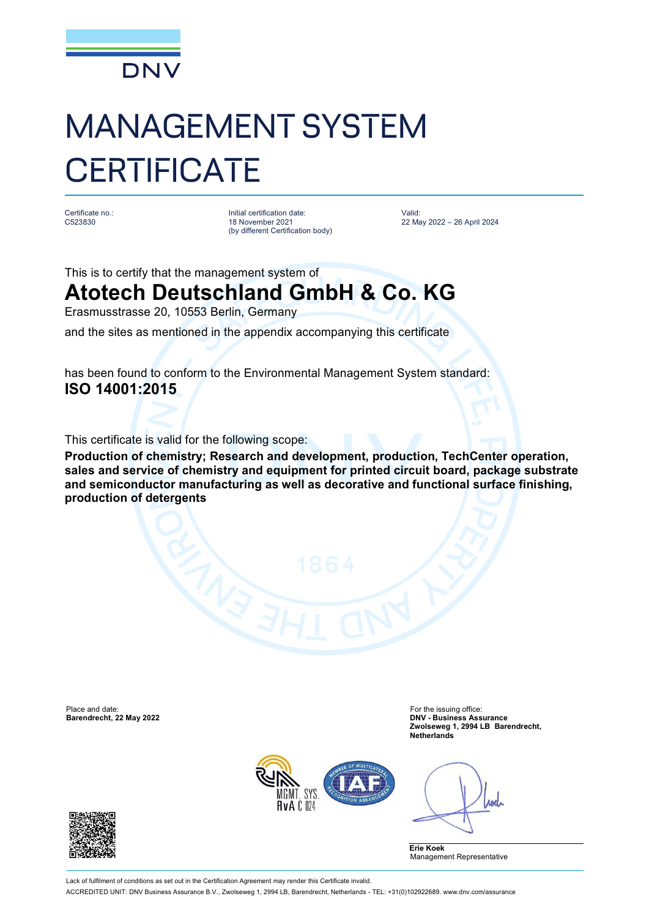

# MANAGEMENT SYSTEM **CERTIFICATE**

Certificate no.: C523830

Initial certification date: 18 November 2021 (by different Certification body) Valid: 22 May 2022 – 26 April 2024

This is to certify that the management system of

## **Atotech Deutschland GmbH & Co. KG**

Erasmusstrasse 20, 10553 Berlin, Germany

and the sites as mentioned in the appendix accompanying this certificate

has been found to conform to the Environmental Management System standard: **ISO 14001:2015**

This certificate is valid for the following scope:

**Production of chemistry; Research and development, production, TechCenter operation, sales and service of chemistry and equipment for printed circuit board, package substrate and semiconductor manufacturing as well as decorative and functional surface finishing, production of detergents**

Place and date: For the issuing office: For the issuing office: For the issuing office:

**Barendrecht, 22 May 2022 DNV - Business Assurance Zwolseweg 1, 2994 LB Barendrecht, Netherlands**



Anel

**Erie Koek** Management Representative



Lack of fulfilment of conditions as set out in the Certification Agreement may render this Certificate invalid ACCREDITED UNIT: DNV Business Assurance B.V., Zwolseweg 1, 2994 LB, Barendrecht, Netherlands - TEL: +31(0)102922689. [www.dnv.com/assurance](http://www.dnv.com/assurance)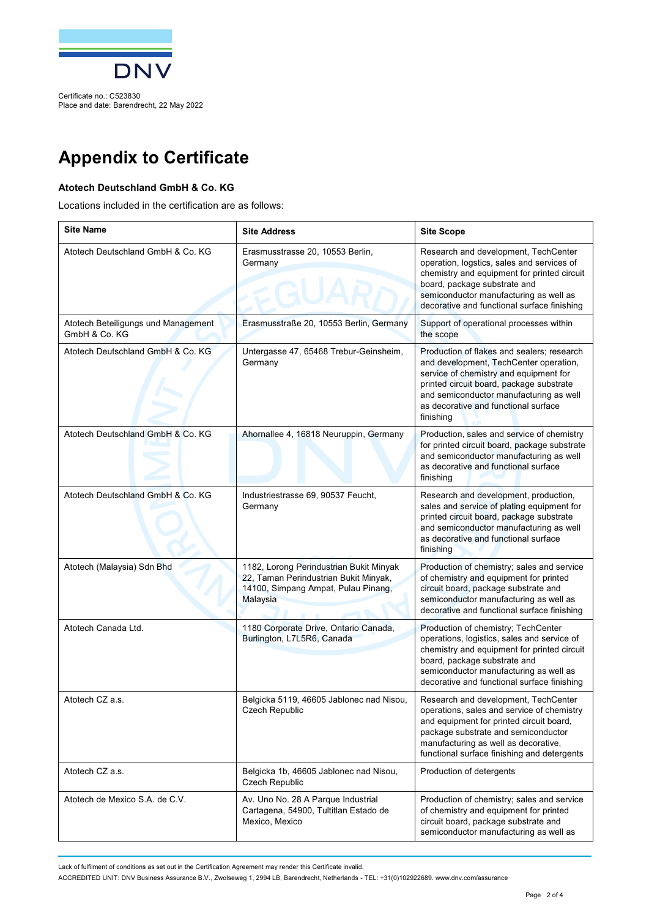

Certificate no.: C523830 Place and date: Barendrecht, 22 May 2022

## **Appendix to Certificate**

### **Atotech Deutschland GmbH & Co. KG**

Locations included in the certification are as follows:

| <b>Site Name</b>                                     | <b>Site Address</b>                                                                                                                 | <b>Site Scope</b>                                                                                                                                                                                                                                                          |
|------------------------------------------------------|-------------------------------------------------------------------------------------------------------------------------------------|----------------------------------------------------------------------------------------------------------------------------------------------------------------------------------------------------------------------------------------------------------------------------|
| Atotech Deutschland GmbH & Co. KG                    | Erasmusstrasse 20, 10553 Berlin,<br>Germany                                                                                         | Research and development, TechCenter<br>operation, logstics, sales and services of<br>chemistry and equipment for printed circuit<br>board, package substrate and<br>semiconductor manufacturing as well as<br>decorative and functional surface finishing                 |
| Atotech Beteiligungs und Management<br>GmbH & Co. KG | Erasmusstraße 20, 10553 Berlin, Germany                                                                                             | Support of operational processes within<br>the scope                                                                                                                                                                                                                       |
| Atotech Deutschland GmbH & Co. KG                    | Untergasse 47, 65468 Trebur-Geinsheim,<br>Germany                                                                                   | Production of flakes and sealers; research<br>and development, TechCenter operation,<br>service of chemistry and equipment for<br>printed circuit board, package substrate<br>and semiconductor manufacturing as well<br>as decorative and functional surface<br>finishing |
| Atotech Deutschland GmbH & Co. KG                    | Ahornallee 4, 16818 Neuruppin, Germany                                                                                              | Production, sales and service of chemistry<br>for printed circuit board, package substrate<br>and semiconductor manufacturing as well<br>as decorative and functional surface<br>finishing                                                                                 |
| Atotech Deutschland GmbH & Co. KG                    | Industriestrasse 69, 90537 Feucht,<br>Germany                                                                                       | Research and development, production,<br>sales and service of plating equipment for<br>printed circuit board, package substrate<br>and semiconductor manufacturing as well<br>as decorative and functional surface<br>finishing                                            |
| Atotech (Malaysia) Sdn Bhd                           | 1182, Lorong Perindustrian Bukit Minyak<br>22, Taman Perindustrian Bukit Minyak,<br>14100, Simpang Ampat, Pulau Pinang,<br>Malaysia | Production of chemistry; sales and service<br>of chemistry and equipment for printed<br>circuit board, package substrate and<br>semiconductor manufacturing as well as<br>decorative and functional surface finishing                                                      |
| Atotech Canada Ltd.                                  | 1180 Corporate Drive, Ontario Canada,<br>Burlington, L7L5R6, Canada                                                                 | Production of chemistry; TechCenter<br>operations, logistics, sales and service of<br>chemistry and equipment for printed circuit<br>board, package substrate and<br>semiconductor manufacturing as well as<br>decorative and functional surface finishing                 |
| Atotech CZ a.s.                                      | Belgicka 5119, 46605 Jablonec nad Nisou,<br>Czech Republic                                                                          | Research and development, TechCenter<br>operations, sales and service of chemistry<br>and equipment for printed circuit board,<br>package substrate and semiconductor<br>manufacturing as well as decorative,<br>functional surface finishing and detergents               |
| Atotech CZ a.s.                                      | Belgicka 1b, 46605 Jablonec nad Nisou,<br><b>Czech Republic</b>                                                                     | Production of detergents                                                                                                                                                                                                                                                   |
| Atotech de Mexico S.A. de C.V.                       | Av. Uno No. 28 A Parque Industrial<br>Cartagena, 54900, Tultitlan Estado de<br>Mexico, Mexico                                       | Production of chemistry; sales and service<br>of chemistry and equipment for printed<br>circuit board, package substrate and<br>semiconductor manufacturing as well as                                                                                                     |

Lack of fulfilment of conditions as set out in the Certification Agreement may render this Certificate invalid.

ACCREDITED UNIT: DNV Business Assurance B.V., Zwolseweg 1, 2994 LB, Barendrecht, Netherlands - TEL: +31(0)102922689. [www.dnv.com/assurance](http://www.dnv.com/assurance)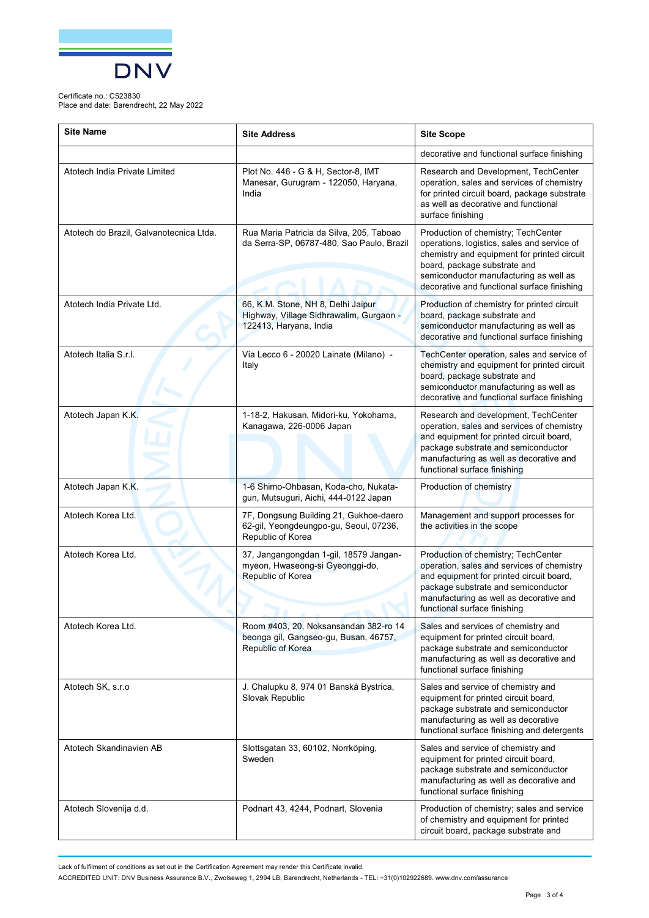

#### Certificate no.: C523830

Place and date: Barendrecht, 22 May 2022

| <b>Site Name</b>                        | <b>Site Address</b>                                                                                     | <b>Site Scope</b>                                                                                                                                                                                                                                          |
|-----------------------------------------|---------------------------------------------------------------------------------------------------------|------------------------------------------------------------------------------------------------------------------------------------------------------------------------------------------------------------------------------------------------------------|
|                                         |                                                                                                         | decorative and functional surface finishing                                                                                                                                                                                                                |
| Atotech India Private Limited           | Plot No. 446 - G & H, Sector-8, IMT<br>Manesar, Gurugram - 122050, Haryana,<br>India                    | Research and Development, TechCenter<br>operation, sales and services of chemistry<br>for printed circuit board, package substrate<br>as well as decorative and functional<br>surface finishing                                                            |
| Atotech do Brazil, Galvanotecnica Ltda. | Rua Maria Patricia da Silva, 205, Taboao<br>da Serra-SP, 06787-480, Sao Paulo, Brazil                   | Production of chemistry; TechCenter<br>operations, logistics, sales and service of<br>chemistry and equipment for printed circuit<br>board, package substrate and<br>semiconductor manufacturing as well as<br>decorative and functional surface finishing |
| Atotech India Private Ltd.              | 66, K.M. Stone, NH 8, Delhi Jaipur<br>Highway, Village Sidhrawalim, Gurgaon -<br>122413, Haryana, India | Production of chemistry for printed circuit<br>board, package substrate and<br>semiconductor manufacturing as well as<br>decorative and functional surface finishing                                                                                       |
| Atotech Italia S.r.l.                   | Via Lecco 6 - 20020 Lainate (Milano) -<br>Italy                                                         | TechCenter operation, sales and service of<br>chemistry and equipment for printed circuit<br>board, package substrate and<br>semiconductor manufacturing as well as<br>decorative and functional surface finishing                                         |
| Atotech Japan K.K.                      | 1-18-2, Hakusan, Midori-ku, Yokohama,<br>Kanagawa, 226-0006 Japan                                       | Research and development, TechCenter<br>operation, sales and services of chemistry<br>and equipment for printed circuit board,<br>package substrate and semiconductor<br>manufacturing as well as decorative and<br>functional surface finishing           |
| Atotech Japan K.K.                      | 1-6 Shimo-Ohbasan, Koda-cho, Nukata-<br>gun, Mutsuguri, Aichi, 444-0122 Japan                           | Production of chemistry                                                                                                                                                                                                                                    |
| Atotech Korea Ltd.                      | 7F, Dongsung Building 21, Gukhoe-daero<br>62-gil, Yeongdeungpo-gu, Seoul, 07236,<br>Republic of Korea   | Management and support processes for<br>the activities in the scope                                                                                                                                                                                        |
| Atotech Korea Ltd.                      | 37, Jangangongdan 1-gil, 18579 Jangan-<br>myeon, Hwaseong-si Gyeonggi-do,<br>Republic of Korea          | Production of chemistry; TechCenter<br>operation, sales and services of chemistry<br>and equipment for printed circuit board,<br>package substrate and semiconductor<br>manufacturing as well as decorative and<br>functional surface finishing            |
| Atotech Korea Ltd.                      | Room #403, 20, Noksansandan 382-ro 14<br>beonga gil, Gangseo-gu, Busan, 46757,<br>Republic of Korea     | Sales and services of chemistry and<br>equipment for printed circuit board,<br>package substrate and semiconductor<br>manufacturing as well as decorative and<br>functional surface finishing                                                              |
| Atotech SK, s.r.o                       | J. Chalupku 8, 974 01 Banská Bystrica,<br>Slovak Republic                                               | Sales and service of chemistry and<br>equipment for printed circuit board,<br>package substrate and semiconductor<br>manufacturing as well as decorative<br>functional surface finishing and detergents                                                    |
| Atotech Skandinavien AB                 | Slottsgatan 33, 60102, Norrköping,<br>Sweden                                                            | Sales and service of chemistry and<br>equipment for printed circuit board,<br>package substrate and semiconductor<br>manufacturing as well as decorative and<br>functional surface finishing                                                               |
| Atotech Slovenija d.d.                  | Podnart 43, 4244, Podnart, Slovenia                                                                     | Production of chemistry; sales and service<br>of chemistry and equipment for printed<br>circuit board, package substrate and                                                                                                                               |

Lack of fulfilment of conditions as set out in the Certification Agreement may render this Certificate invalid.

ACCREDITED UNIT: DNV Business Assurance B.V., Zwolseweg 1, 2994 LB, Barendrecht, Netherlands - TEL: +31(0)102922689. [www.dnv.com/assurance](http://www.dnv.com/assurance)